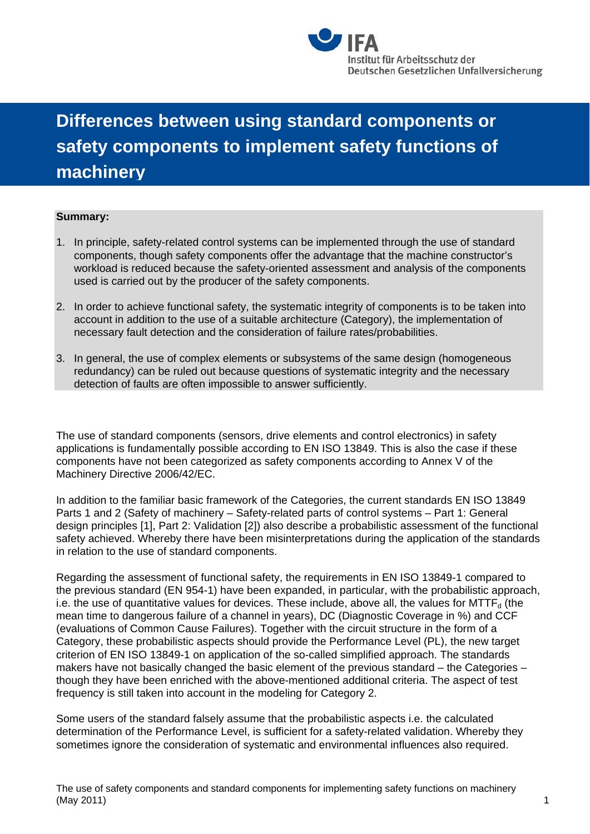

## **Differences between using standard components or safety components to implement safety functions of machinery**

## **Summary:**

- 1. In principle, safety-related control systems can be implemented through the use of standard components, though safety components offer the advantage that the machine constructor's workload is reduced because the safety-oriented assessment and analysis of the components used is carried out by the producer of the safety components.
- 2. In order to achieve functional safety, the systematic integrity of components is to be taken into account in addition to the use of a suitable architecture (Category), the implementation of necessary fault detection and the consideration of failure rates/probabilities.
- 3. In general, the use of complex elements or subsystems of the same design (homogeneous redundancy) can be ruled out because questions of systematic integrity and the necessary detection of faults are often impossible to answer sufficiently.

The use of standard components (sensors, drive elements and control electronics) in safety applications is fundamentally possible according to EN ISO 13849. This is also the case if these components have not been categorized as safety components according to Annex V of the Machinery Directive 2006/42/EC.

In addition to the familiar basic framework of the Categories, the current standards EN ISO 13849 Parts 1 and 2 (Safety of machinery – Safety-related parts of control systems – Part 1: General design principles [1], Part 2: Validation [2]) also describe a probabilistic assessment of the functional safety achieved. Whereby there have been misinterpretations during the application of the standards in relation to the use of standard components.

Regarding the assessment of functional safety, the requirements in EN ISO 13849-1 compared to the previous standard (EN 954-1) have been expanded, in particular, with the probabilistic approach, i.e. the use of quantitative values for devices. These include, above all, the values for  $MTTF<sub>d</sub>$  (the mean time to dangerous failure of a channel in years), DC (Diagnostic Coverage in %) and CCF (evaluations of Common Cause Failures). Together with the circuit structure in the form of a Category, these probabilistic aspects should provide the Performance Level (PL), the new target criterion of EN ISO 13849-1 on application of the so-called simplified approach. The standards makers have not basically changed the basic element of the previous standard – the Categories – though they have been enriched with the above-mentioned additional criteria. The aspect of test frequency is still taken into account in the modeling for Category 2.

Some users of the standard falsely assume that the probabilistic aspects i.e. the calculated determination of the Performance Level, is sufficient for a safety-related validation. Whereby they sometimes ignore the consideration of systematic and environmental influences also required.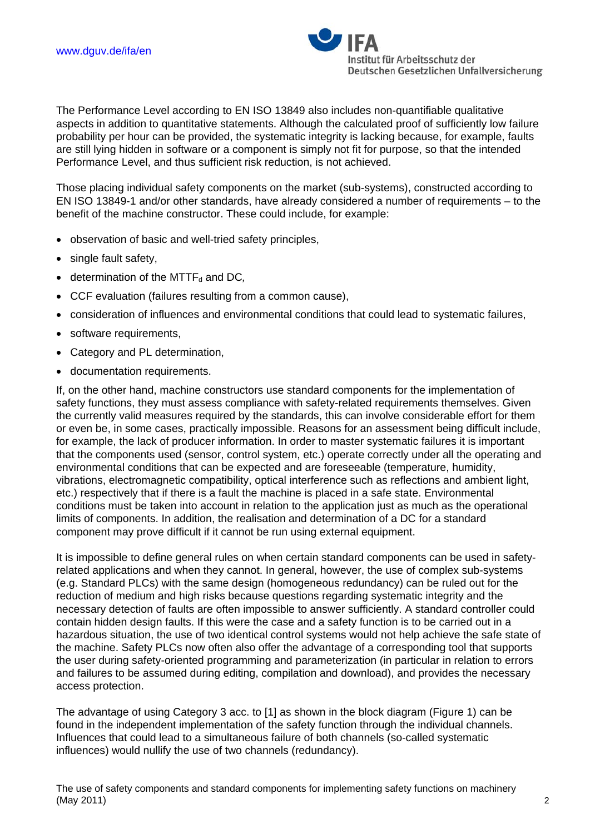

The Performance Level according to EN ISO 13849 also includes non-quantifiable qualitative aspects in addition to quantitative statements. Although the calculated proof of sufficiently low failure probability per hour can be provided, the systematic integrity is lacking because, for example, faults are still lying hidden in software or a component is simply not fit for purpose, so that the intended Performance Level, and thus sufficient risk reduction, is not achieved.

Those placing individual safety components on the market (sub-systems), constructed according to EN ISO 13849-1 and/or other standards, have already considered a number of requirements – to the benefit of the machine constructor. These could include, for example:

- observation of basic and well-tried safety principles,
- single fault safety,
- $\bullet$  determination of the MTTF<sub>d</sub> and DC,
- CCF evaluation (failures resulting from a common cause),
- consideration of influences and environmental conditions that could lead to systematic failures,
- software requirements,
- Category and PL determination,
- documentation requirements.

If, on the other hand, machine constructors use standard components for the implementation of safety functions, they must assess compliance with safety-related requirements themselves. Given the currently valid measures required by the standards, this can involve considerable effort for them or even be, in some cases, practically impossible. Reasons for an assessment being difficult include, for example, the lack of producer information. In order to master systematic failures it is important that the components used (sensor, control system, etc.) operate correctly under all the operating and environmental conditions that can be expected and are foreseeable (temperature, humidity, vibrations, electromagnetic compatibility, optical interference such as reflections and ambient light, etc.) respectively that if there is a fault the machine is placed in a safe state. Environmental conditions must be taken into account in relation to the application just as much as the operational limits of components. In addition, the realisation and determination of a DC for a standard component may prove difficult if it cannot be run using external equipment.

It is impossible to define general rules on when certain standard components can be used in safetyrelated applications and when they cannot. In general, however, the use of complex sub-systems (e.g. Standard PLCs) with the same design (homogeneous redundancy) can be ruled out for the reduction of medium and high risks because questions regarding systematic integrity and the necessary detection of faults are often impossible to answer sufficiently. A standard controller could contain hidden design faults. If this were the case and a safety function is to be carried out in a hazardous situation, the use of two identical control systems would not help achieve the safe state of the machine. Safety PLCs now often also offer the advantage of a corresponding tool that supports the user during safety-oriented programming and parameterization (in particular in relation to errors and failures to be assumed during editing, compilation and download), and provides the necessary access protection.

The advantage of using Category 3 acc. to [1] as shown in the block diagram (Figure 1) can be found in the independent implementation of the safety function through the individual channels. Influences that could lead to a simultaneous failure of both channels (so-called systematic influences) would nullify the use of two channels (redundancy).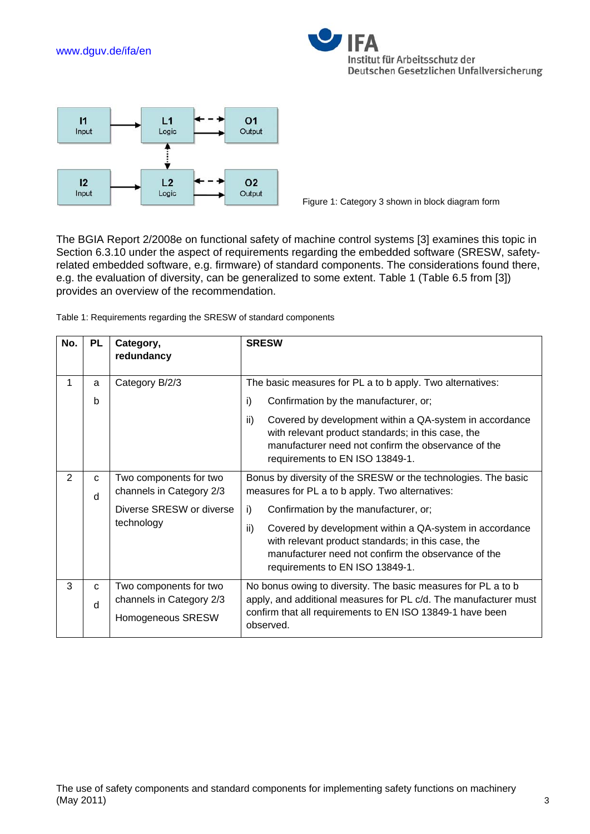www.dguv.de/ifa/en





Figure 1: Category 3 shown in block diagram form

The BGIA Report 2/2008e on functional safety of machine control systems [3] examines this topic in Section 6.3.10 under the aspect of requirements regarding the embedded software (SRESW, safetyrelated embedded software, e.g. firmware) of standard components. The considerations found there, e.g. the evaluation of diversity, can be generalized to some extent. Table 1 (Table 6.5 from [3]) provides an overview of the recommendation.

Table 1: Requirements regarding the SRESW of standard components

| No.            | <b>PL</b> | Category,<br>redundancy                            | <b>SRESW</b>                                                                                                                                                                                                   |
|----------------|-----------|----------------------------------------------------|----------------------------------------------------------------------------------------------------------------------------------------------------------------------------------------------------------------|
| 1              | a         | Category B/2/3                                     | The basic measures for PL a to b apply. Two alternatives:                                                                                                                                                      |
|                | b         |                                                    | i)<br>Confirmation by the manufacturer, or;                                                                                                                                                                    |
|                |           |                                                    | ii)<br>Covered by development within a QA-system in accordance<br>with relevant product standards; in this case, the<br>manufacturer need not confirm the observance of the<br>requirements to EN ISO 13849-1. |
| $\overline{2}$ | C<br>d    | Two components for two<br>channels in Category 2/3 | Bonus by diversity of the SRESW or the technologies. The basic<br>measures for PL a to b apply. Two alternatives:                                                                                              |
|                |           | Diverse SRESW or diverse<br>technology             | i)<br>Confirmation by the manufacturer, or;                                                                                                                                                                    |
|                |           |                                                    | ii)<br>Covered by development within a QA-system in accordance<br>with relevant product standards; in this case, the<br>manufacturer need not confirm the observance of the<br>requirements to EN ISO 13849-1. |
| 3              | C         | Two components for two                             | No bonus owing to diversity. The basic measures for PL a to b                                                                                                                                                  |
|                | d         | channels in Category 2/3<br>Homogeneous SRESW      | apply, and additional measures for PL c/d. The manufacturer must<br>confirm that all requirements to EN ISO 13849-1 have been<br>observed.                                                                     |